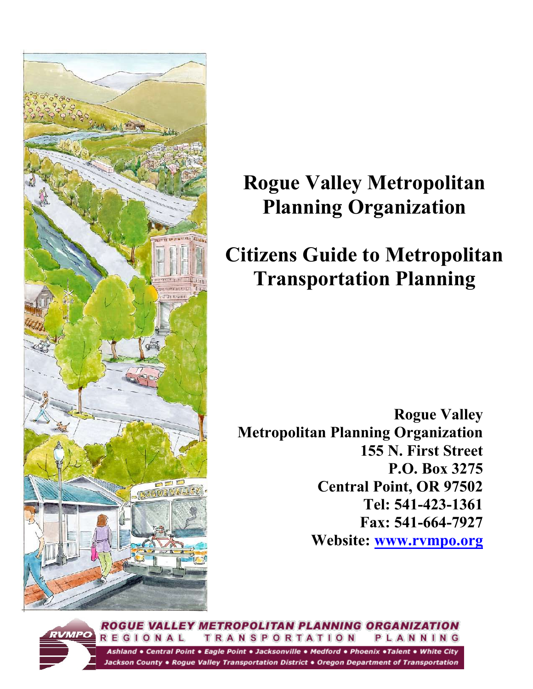

# **Rogue Valley Metropolitan Planning Organization**

# **Citizens Guide to Metropolitan Transportation Planning**

**Rogue Valley Metropolitan Planning Organization 155 N. First Street P.O. Box 3275 Central Point, OR 97502 Tel: 541-423-1361 Fax: 541-664-7927 Website: [www.rvmpo.org](http://www.rvmpo.org/)**

ROGUE VALLEY METROPOLITAN PLANNING ORGANIZATION REGIONAL **TRANSPORTATION** PLANNING Ashland . Central Point . Eagle Point . Jacksonville . Medford . Phoenix . Talent . White City Jackson County • Rogue Valley Transportation District • Oregon Department of Transportation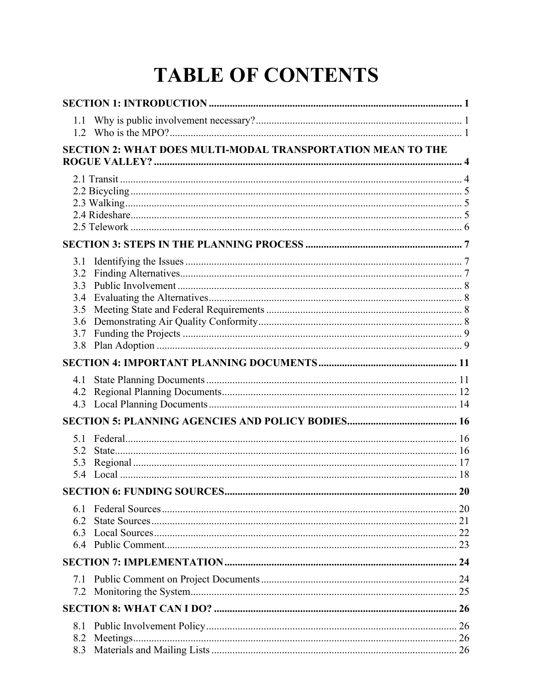# **TABLE OF CONTENTS**

| 1.1                                                         |    |  |  |  |
|-------------------------------------------------------------|----|--|--|--|
| SECTION 2: WHAT DOES MULTI-MODAL TRANSPORTATION MEAN TO THE |    |  |  |  |
|                                                             |    |  |  |  |
|                                                             |    |  |  |  |
|                                                             |    |  |  |  |
|                                                             |    |  |  |  |
|                                                             |    |  |  |  |
|                                                             |    |  |  |  |
| 3.1                                                         |    |  |  |  |
| 3.2                                                         |    |  |  |  |
| 3.3                                                         |    |  |  |  |
| 3.4<br>3.5                                                  |    |  |  |  |
| 3.6                                                         |    |  |  |  |
| 3.7                                                         |    |  |  |  |
| 3.8                                                         |    |  |  |  |
|                                                             |    |  |  |  |
| 4.1                                                         |    |  |  |  |
| 4.2                                                         |    |  |  |  |
| 4.3                                                         |    |  |  |  |
|                                                             |    |  |  |  |
| 5.1                                                         |    |  |  |  |
| 5.2                                                         |    |  |  |  |
| 5.3                                                         |    |  |  |  |
| 5.4                                                         |    |  |  |  |
|                                                             | 20 |  |  |  |
| 6.1                                                         |    |  |  |  |
| 6.2                                                         |    |  |  |  |
| 6.3                                                         |    |  |  |  |
|                                                             |    |  |  |  |
|                                                             |    |  |  |  |
| 7.1                                                         |    |  |  |  |
| 7.2                                                         |    |  |  |  |
|                                                             |    |  |  |  |
| 8.1                                                         |    |  |  |  |
| 8.2                                                         |    |  |  |  |
| 8.3                                                         |    |  |  |  |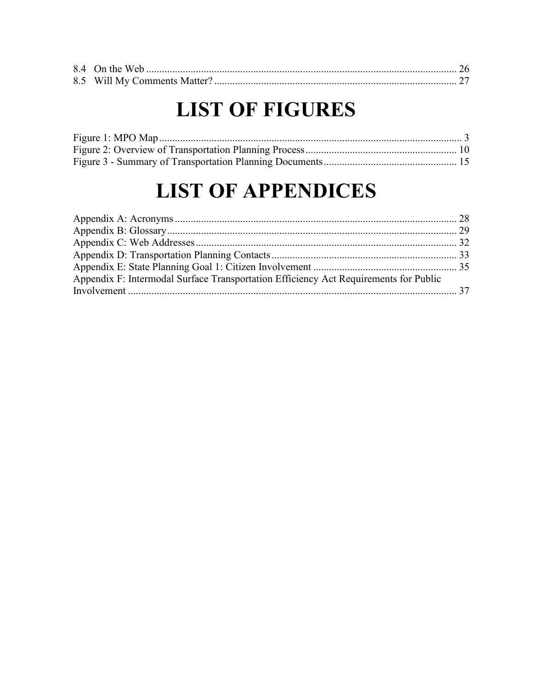# **LIST OF FIGURES**

# **LIST OF APPENDICES**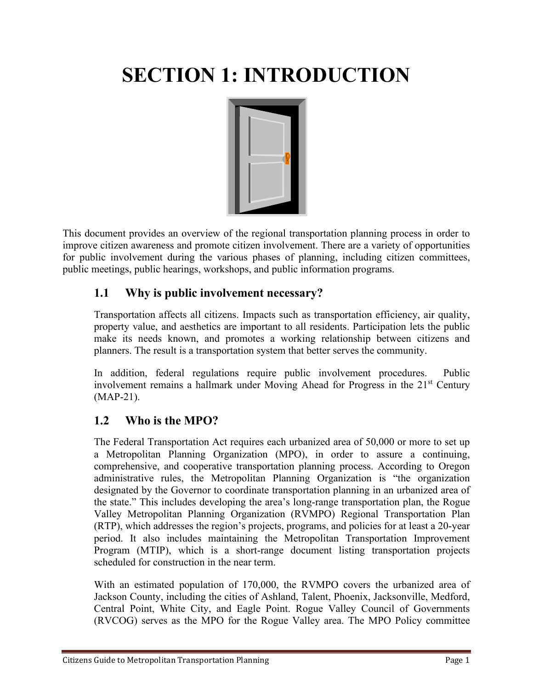# **SECTION 1: INTRODUCTION**



This document provides an overview of the regional transportation planning process in order to improve citizen awareness and promote citizen involvement. There are a variety of opportunities for public involvement during the various phases of planning, including citizen committees, public meetings, public hearings, workshops, and public information programs.

## **1.1 Why is public involvement necessary?**

Transportation affects all citizens. Impacts such as transportation efficiency, air quality, property value, and aesthetics are important to all residents. Participation lets the public make its needs known, and promotes a working relationship between citizens and planners. The result is a transportation system that better serves the community.

In addition, federal regulations require public involvement procedures. Public involvement remains a hallmark under Moving Ahead for Progress in the 21<sup>st</sup> Century (MAP-21).

## **1.2 Who is the MPO?**

The Federal Transportation Act requires each urbanized area of 50,000 or more to set up a Metropolitan Planning Organization (MPO), in order to assure a continuing, comprehensive, and cooperative transportation planning process. According to Oregon administrative rules, the Metropolitan Planning Organization is "the organization designated by the Governor to coordinate transportation planning in an urbanized area of the state." This includes developing the area's long-range transportation plan, the Rogue Valley Metropolitan Planning Organization (RVMPO) Regional Transportation Plan (RTP), which addresses the region's projects, programs, and policies for at least a 20-year period. It also includes maintaining the Metropolitan Transportation Improvement Program (MTIP), which is a short-range document listing transportation projects scheduled for construction in the near term.

With an estimated population of 170,000, the RVMPO covers the urbanized area of Jackson County, including the cities of Ashland, Talent, Phoenix, Jacksonville, Medford, Central Point, White City, and Eagle Point. Rogue Valley Council of Governments (RVCOG) serves as the MPO for the Rogue Valley area. The MPO Policy committee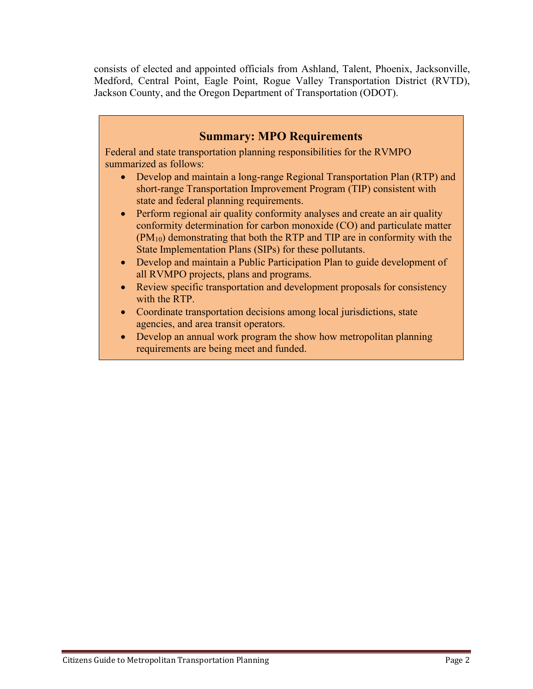consists of elected and appointed officials from Ashland, Talent, Phoenix, Jacksonville, Medford, Central Point, Eagle Point, Rogue Valley Transportation District (RVTD), Jackson County, and the Oregon Department of Transportation (ODOT).

## **Summary: MPO Requirements**

Federal and state transportation planning responsibilities for the RVMPO summarized as follows:

- Develop and maintain a long-range Regional Transportation Plan (RTP) and short-range Transportation Improvement Program (TIP) consistent with state and federal planning requirements.
- Perform regional air quality conformity analyses and create an air quality conformity determination for carbon monoxide (CO) and particulate matter (PM10) demonstrating that both the RTP and TIP are in conformity with the State Implementation Plans (SIPs) for these pollutants.
- Develop and maintain a Public Participation Plan to guide development of all RVMPO projects, plans and programs.
- Review specific transportation and development proposals for consistency with the RTP.
- Coordinate transportation decisions among local jurisdictions, state agencies, and area transit operators.
- Develop an annual work program the show how metropolitan planning requirements are being meet and funded.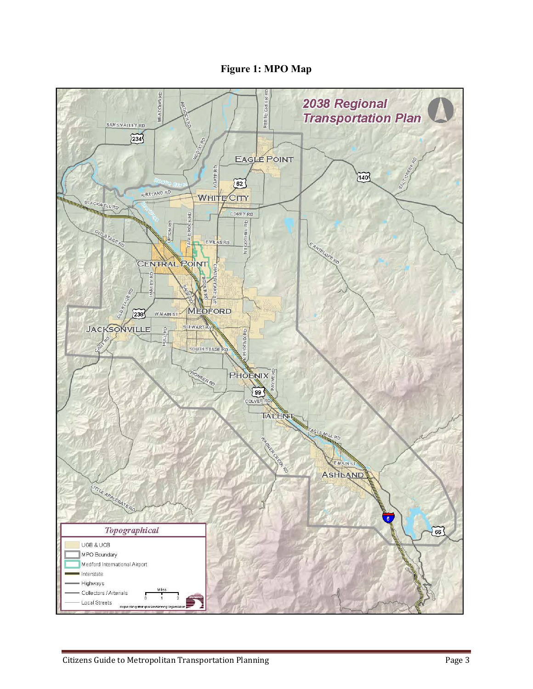**Figure 1: MPO Map**

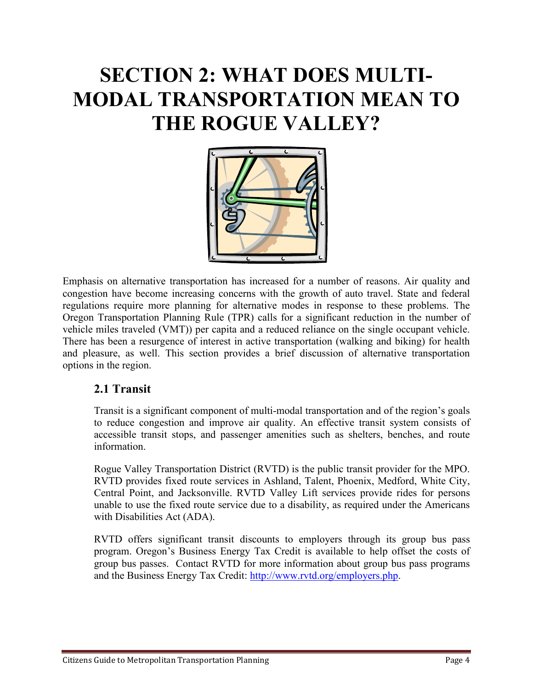# **SECTION 2: WHAT DOES MULTI-MODAL TRANSPORTATION MEAN TO THE ROGUE VALLEY?**



Emphasis on alternative transportation has increased for a number of reasons. Air quality and congestion have become increasing concerns with the growth of auto travel. State and federal regulations require more planning for alternative modes in response to these problems. The Oregon Transportation Planning Rule (TPR) calls for a significant reduction in the number of vehicle miles traveled (VMT)) per capita and a reduced reliance on the single occupant vehicle. There has been a resurgence of interest in active transportation (walking and biking) for health and pleasure, as well. This section provides a brief discussion of alternative transportation options in the region.

## **2.1 Transit**

Transit is a significant component of multi-modal transportation and of the region's goals to reduce congestion and improve air quality. An effective transit system consists of accessible transit stops, and passenger amenities such as shelters, benches, and route information.

Rogue Valley Transportation District (RVTD) is the public transit provider for the MPO. RVTD provides fixed route services in Ashland, Talent, Phoenix, Medford, White City, Central Point, and Jacksonville. RVTD Valley Lift services provide rides for persons unable to use the fixed route service due to a disability, as required under the Americans with Disabilities Act (ADA).

RVTD offers significant transit discounts to employers through its group bus pass program. Oregon's Business Energy Tax Credit is available to help offset the costs of group bus passes. Contact RVTD for more information about group bus pass programs and the Business Energy Tax Credit: [http://www.rvtd.org/employers.php.](http://www.rvtd.org/employers.php)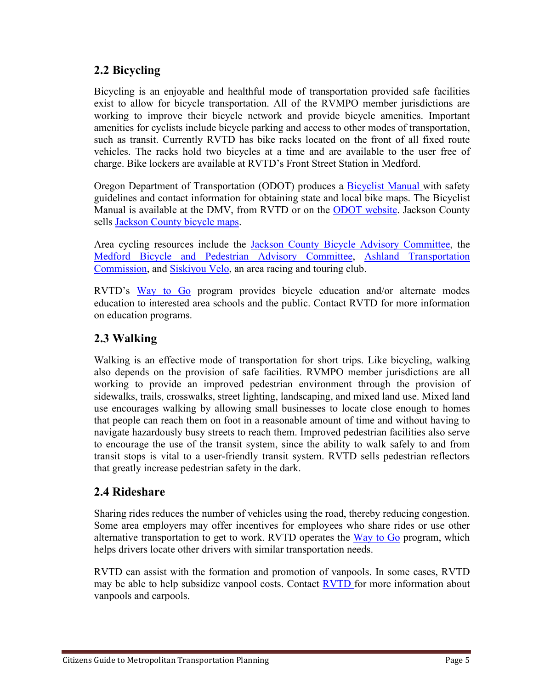## **2.2 Bicycling**

Bicycling is an enjoyable and healthful mode of transportation provided safe facilities exist to allow for bicycle transportation. All of the RVMPO member jurisdictions are working to improve their bicycle network and provide bicycle amenities. Important amenities for cyclists include bicycle parking and access to other modes of transportation, such as transit. Currently RVTD has bike racks located on the front of all fixed route vehicles. The racks hold two bicycles at a time and are available to the user free of charge. Bike lockers are available at RVTD's Front Street Station in Medford.

Oregon Department of Transportation (ODOT) produces a [Bicyclist Manual w](http://www.oregon.gov/ODOT/HWY/BIKEPED/pages/index.aspx)ith safety guidelines and contact information for obtaining state and local bike maps. The Bicyclist Manual is available at the DMV, from RVTD or on the [ODOT website.](http://www.oregon.gov/ODOT/HWY/BIKEPED/pages/index.aspx) Jackson County sells [Jackson County bicycle maps.](http://www.co.jackson.or.us/page.asp?navid=3038)

Area cycling resources include the [Jackson County Bicycle Advisory Committee,](http://www.co.jackson.or.us/CCBIndex.asp?CCBID=16) the [Medford Bicycle and Pedestrian Advisory Committee,](http://www.ci.medford.or.us/CCBIndex.asp?CCBID=36) [Ashland Transportation](http://www.ashland.or.us/CCBIndex.asp?CCBID=225)  [Commission,](http://www.ashland.or.us/CCBIndex.asp?CCBID=225) and [Siskiyou Velo,](http://www.siskiyouvelo.org/) an area racing and touring club.

RVTD's [Way to Go](http://www.rvtd.org/way_to_go_program.php) program provides bicycle education and/or alternate modes education to interested area schools and the public. Contact RVTD for more information on education programs.

## **2.3 Walking**

Walking is an effective mode of transportation for short trips. Like bicycling, walking also depends on the provision of safe facilities. RVMPO member jurisdictions are all working to provide an improved pedestrian environment through the provision of sidewalks, trails, crosswalks, street lighting, landscaping, and mixed land use. Mixed land use encourages walking by allowing small businesses to locate close enough to homes that people can reach them on foot in a reasonable amount of time and without having to navigate hazardously busy streets to reach them. Improved pedestrian facilities also serve to encourage the use of the transit system, since the ability to walk safely to and from transit stops is vital to a user-friendly transit system. RVTD sells pedestrian reflectors that greatly increase pedestrian safety in the dark.

## **2.4 Rideshare**

Sharing rides reduces the number of vehicles using the road, thereby reducing congestion. Some area employers may offer incentives for employees who share rides or use other alternative transportation to get to work. RVTD operates the [Way to Go](http://www.rvtd.org/way_to_go_program.php) program, which helps drivers locate other drivers with similar transportation needs.

RVTD can assist with the formation and promotion of vanpools. In some cases, RVTD may be able to help subsidize vanpool costs. Contact **RVTD** for more information about vanpools and carpools.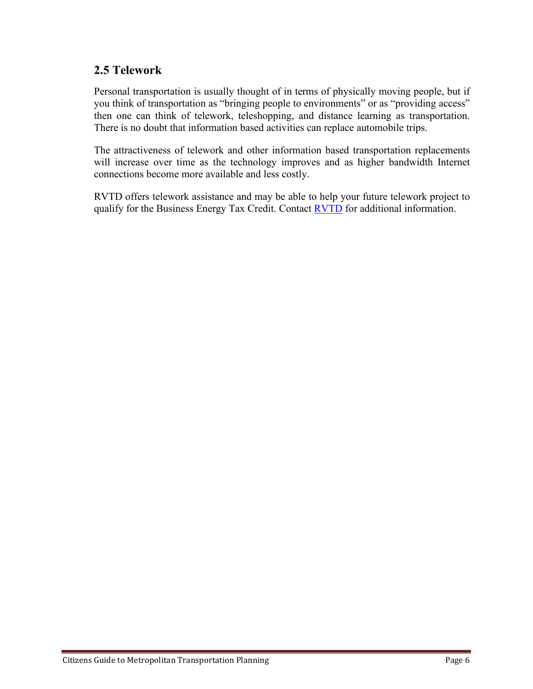## **2.5 Telework**

Personal transportation is usually thought of in terms of physically moving people, but if you think of transportation as "bringing people to environments" or as "providing access" then one can think of telework, teleshopping, and distance learning as transportation. There is no doubt that information based activities can replace automobile trips.

The attractiveness of telework and other information based transportation replacements will increase over time as the technology improves and as higher bandwidth Internet connections become more available and less costly.

RVTD offers telework assistance and may be able to help your future telework project to qualify for the Business Energy Tax Credit. Contact [RVTD](http://www.rvtd.org/way_to_go_program.php) for additional information.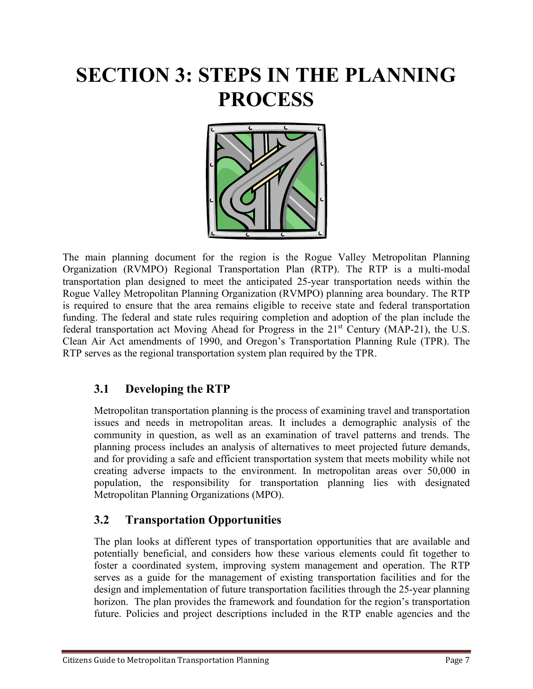## **SECTION 3: STEPS IN THE PLANNING PROCESS**



The main planning document for the region is the Rogue Valley Metropolitan Planning Organization (RVMPO) Regional Transportation Plan (RTP). The RTP is a multi-modal transportation plan designed to meet the anticipated 25-year transportation needs within the Rogue Valley Metropolitan Planning Organization (RVMPO) planning area boundary. The RTP is required to ensure that the area remains eligible to receive state and federal transportation funding. The federal and state rules requiring completion and adoption of the plan include the federal transportation act Moving Ahead for Progress in the  $21<sup>st</sup>$  Century (MAP-21), the U.S. Clean Air Act amendments of 1990, and Oregon's Transportation Planning Rule (TPR). The RTP serves as the regional transportation system plan required by the TPR.

## **3.1 Developing the RTP**

Metropolitan transportation planning is the process of examining travel and transportation issues and needs in metropolitan areas. It includes a demographic analysis of the community in question, as well as an examination of travel patterns and trends. The planning process includes an analysis of alternatives to meet projected future demands, and for providing a safe and efficient transportation system that meets mobility while not creating adverse impacts to the environment. In metropolitan areas over 50,000 in population, the responsibility for transportation planning lies with designated Metropolitan Planning Organizations (MPO).

## **3.2 Transportation Opportunities**

The plan looks at different types of transportation opportunities that are available and potentially beneficial, and considers how these various elements could fit together to foster a coordinated system, improving system management and operation. The RTP serves as a guide for the management of existing transportation facilities and for the design and implementation of future transportation facilities through the 25-year planning horizon. The plan provides the framework and foundation for the region's transportation future. Policies and project descriptions included in the RTP enable agencies and the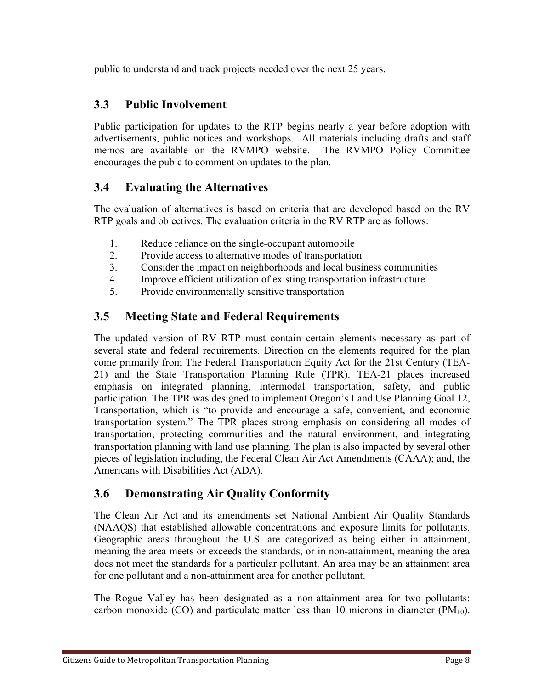public to understand and track projects needed over the next 25 years.

## **3.3 Public Involvement**

Public participation for updates to the RTP begins nearly a year before adoption with advertisements, public notices and workshops. All materials including drafts and staff memos are available on the RVMPO website. The RVMPO Policy Committee encourages the pubic to comment on updates to the plan.

## **3.4 Evaluating the Alternatives**

The evaluation of alternatives is based on criteria that are developed based on the RV RTP goals and objectives. The evaluation criteria in the RV RTP are as follows:

- 1. Reduce reliance on the single-occupant automobile
- 2. Provide access to alternative modes of transportation
- 3. Consider the impact on neighborhoods and local business communities
- 4. Improve efficient utilization of existing transportation infrastructure
- 5. Provide environmentally sensitive transportation

## **3.5 Meeting State and Federal Requirements**

The updated version of RV RTP must contain certain elements necessary as part of several state and federal requirements. Direction on the elements required for the plan come primarily from The Federal Transportation Equity Act for the 21st Century (TEA-21) and the State Transportation Planning Rule (TPR). TEA-21 places increased emphasis on integrated planning, intermodal transportation, safety, and public participation. The TPR was designed to implement Oregon's Land Use Planning Goal 12, Transportation, which is "to provide and encourage a safe, convenient, and economic transportation system." The TPR places strong emphasis on considering all modes of transportation, protecting communities and the natural environment, and integrating transportation planning with land use planning. The plan is also impacted by several other pieces of legislation including, the Federal Clean Air Act Amendments (CAAA); and, the Americans with Disabilities Act (ADA).

## **3.6 Demonstrating Air Quality Conformity**

The Clean Air Act and its amendments set National Ambient Air Quality Standards (NAAQS) that established allowable concentrations and exposure limits for pollutants. Geographic areas throughout the U.S. are categorized as being either in attainment, meaning the area meets or exceeds the standards, or in non-attainment, meaning the area does not meet the standards for a particular pollutant. An area may be an attainment area for one pollutant and a non-attainment area for another pollutant.

The Rogue Valley has been designated as a non-attainment area for two pollutants: carbon monoxide (CO) and particulate matter less than 10 microns in diameter (PM $_{10}$ ).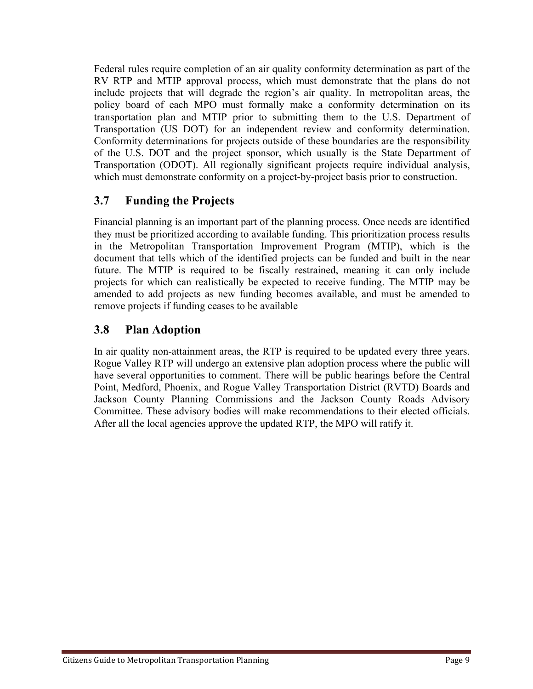Federal rules require completion of an air quality conformity determination as part of the RV RTP and MTIP approval process, which must demonstrate that the plans do not include projects that will degrade the region's air quality. In metropolitan areas, the policy board of each MPO must formally make a conformity determination on its transportation plan and MTIP prior to submitting them to the U.S. Department of Transportation (US DOT) for an independent review and conformity determination. Conformity determinations for projects outside of these boundaries are the responsibility of the U.S. DOT and the project sponsor, which usually is the State Department of Transportation (ODOT). All regionally significant projects require individual analysis, which must demonstrate conformity on a project-by-project basis prior to construction.

## **3.7 Funding the Projects**

Financial planning is an important part of the planning process. Once needs are identified they must be prioritized according to available funding. This prioritization process results in the Metropolitan Transportation Improvement Program (MTIP), which is the document that tells which of the identified projects can be funded and built in the near future. The MTIP is required to be fiscally restrained, meaning it can only include projects for which can realistically be expected to receive funding. The MTIP may be amended to add projects as new funding becomes available, and must be amended to remove projects if funding ceases to be available

## **3.8 Plan Adoption**

In air quality non-attainment areas, the RTP is required to be updated every three years. Rogue Valley RTP will undergo an extensive plan adoption process where the public will have several opportunities to comment. There will be public hearings before the Central Point, Medford, Phoenix, and Rogue Valley Transportation District (RVTD) Boards and Jackson County Planning Commissions and the Jackson County Roads Advisory Committee. These advisory bodies will make recommendations to their elected officials. After all the local agencies approve the updated RTP, the MPO will ratify it.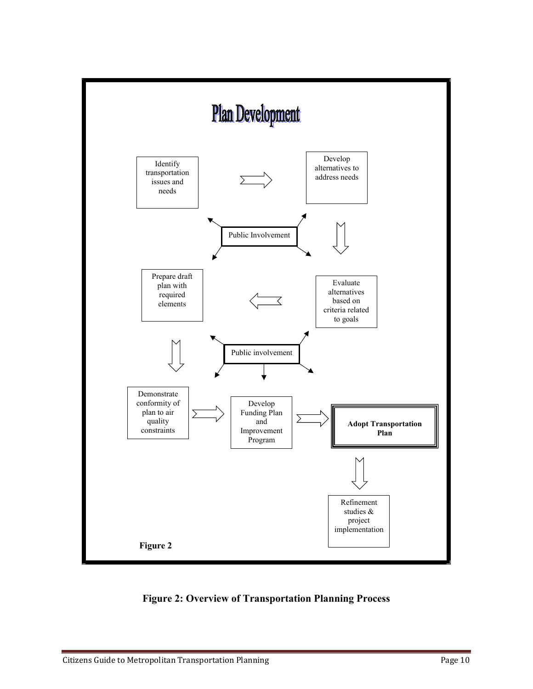

**Figure 2: Overview of Transportation Planning Process**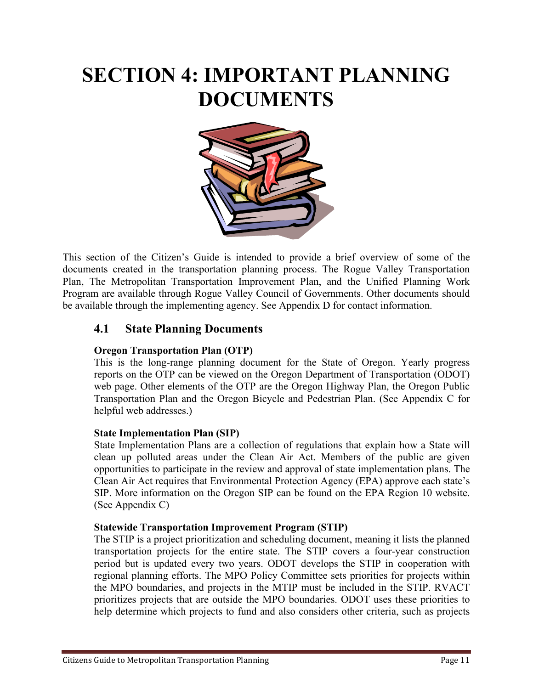# **SECTION 4: IMPORTANT PLANNING DOCUMENTS**



This section of the Citizen's Guide is intended to provide a brief overview of some of the documents created in the transportation planning process. The Rogue Valley Transportation Plan, The Metropolitan Transportation Improvement Plan, and the Unified Planning Work Program are available through Rogue Valley Council of Governments. Other documents should be available through the implementing agency. See Appendix D for contact information.

### **4.1 State Planning Documents**

#### **Oregon Transportation Plan (OTP)**

This is the long-range planning document for the State of Oregon. Yearly progress reports on the OTP can be viewed on the Oregon Department of Transportation (ODOT) web page. Other elements of the OTP are the Oregon Highway Plan, the Oregon Public Transportation Plan and the Oregon Bicycle and Pedestrian Plan. (See Appendix C for helpful web addresses.)

#### **State Implementation Plan (SIP)**

State Implementation Plans are a collection of regulations that explain how a State will clean up polluted areas under the Clean Air Act. Members of the public are given opportunities to participate in the review and approval of state implementation plans. The Clean Air Act requires that Environmental Protection Agency (EPA) approve each state's SIP. More information on the Oregon SIP can be found on the EPA Region 10 website. (See Appendix C)

#### **Statewide Transportation Improvement Program (STIP)**

The STIP is a project prioritization and scheduling document, meaning it lists the planned transportation projects for the entire state. The STIP covers a four-year construction period but is updated every two years. ODOT develops the STIP in cooperation with regional planning efforts. The MPO Policy Committee sets priorities for projects within the MPO boundaries, and projects in the MTIP must be included in the STIP. RVACT prioritizes projects that are outside the MPO boundaries. ODOT uses these priorities to help determine which projects to fund and also considers other criteria, such as projects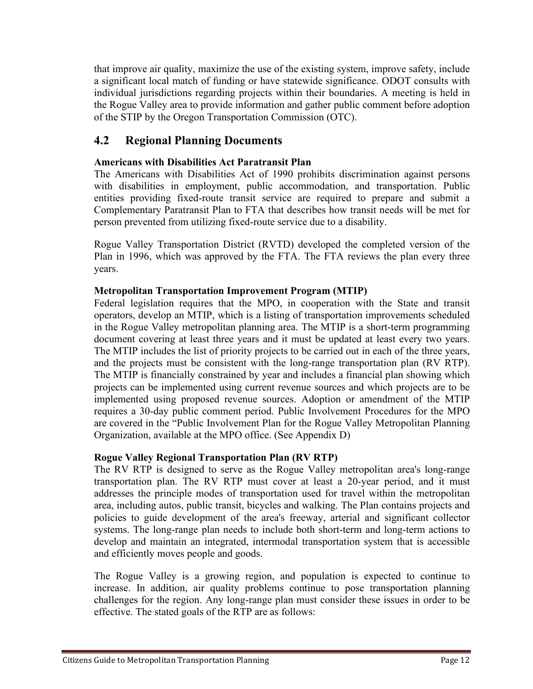that improve air quality, maximize the use of the existing system, improve safety, include a significant local match of funding or have statewide significance. ODOT consults with individual jurisdictions regarding projects within their boundaries. A meeting is held in the Rogue Valley area to provide information and gather public comment before adoption of the STIP by the Oregon Transportation Commission (OTC).

## **4.2 Regional Planning Documents**

### **Americans with Disabilities Act Paratransit Plan**

The Americans with Disabilities Act of 1990 prohibits discrimination against persons with disabilities in employment, public accommodation, and transportation. Public entities providing fixed-route transit service are required to prepare and submit a Complementary Paratransit Plan to FTA that describes how transit needs will be met for person prevented from utilizing fixed-route service due to a disability.

Rogue Valley Transportation District (RVTD) developed the completed version of the Plan in 1996, which was approved by the FTA. The FTA reviews the plan every three years.

#### **Metropolitan Transportation Improvement Program (MTIP)**

Federal legislation requires that the MPO, in cooperation with the State and transit operators, develop an MTIP, which is a listing of transportation improvements scheduled in the Rogue Valley metropolitan planning area. The MTIP is a short-term programming document covering at least three years and it must be updated at least every two years. The MTIP includes the list of priority projects to be carried out in each of the three years, and the projects must be consistent with the long-range transportation plan (RV RTP). The MTIP is financially constrained by year and includes a financial plan showing which projects can be implemented using current revenue sources and which projects are to be implemented using proposed revenue sources. Adoption or amendment of the MTIP requires a 30-day public comment period. Public Involvement Procedures for the MPO are covered in the "Public Involvement Plan for the Rogue Valley Metropolitan Planning Organization, available at the MPO office. (See Appendix D)

#### **Rogue Valley Regional Transportation Plan (RV RTP)**

The RV RTP is designed to serve as the Rogue Valley metropolitan area's long-range transportation plan. The RV RTP must cover at least a 20-year period, and it must addresses the principle modes of transportation used for travel within the metropolitan area, including autos, public transit, bicycles and walking. The Plan contains projects and policies to guide development of the area's freeway, arterial and significant collector systems. The long-range plan needs to include both short-term and long-term actions to develop and maintain an integrated, intermodal transportation system that is accessible and efficiently moves people and goods.

The Rogue Valley is a growing region, and population is expected to continue to increase. In addition, air quality problems continue to pose transportation planning challenges for the region. Any long-range plan must consider these issues in order to be effective. The stated goals of the RTP are as follows: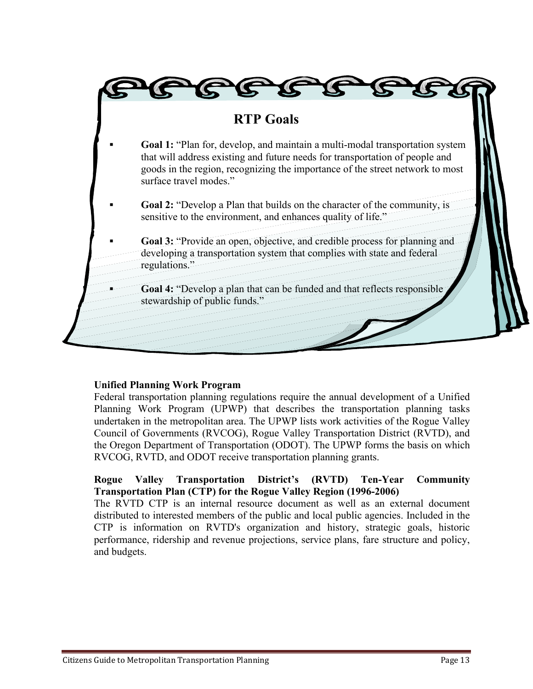

## **Unified Planning Work Program**

Federal transportation planning regulations require the annual development of a Unified Planning Work Program (UPWP) that describes the transportation planning tasks undertaken in the metropolitan area. The UPWP lists work activities of the Rogue Valley Council of Governments (RVCOG), Rogue Valley Transportation District (RVTD), and the Oregon Department of Transportation (ODOT). The UPWP forms the basis on which RVCOG, RVTD, and ODOT receive transportation planning grants.

### **Rogue Valley Transportation District's (RVTD) Ten-Year Community Transportation Plan (CTP) for the Rogue Valley Region (1996-2006)**

The RVTD CTP is an internal resource document as well as an external document distributed to interested members of the public and local public agencies. Included in the CTP is information on RVTD's organization and history, strategic goals, historic performance, ridership and revenue projections, service plans, fare structure and policy, and budgets.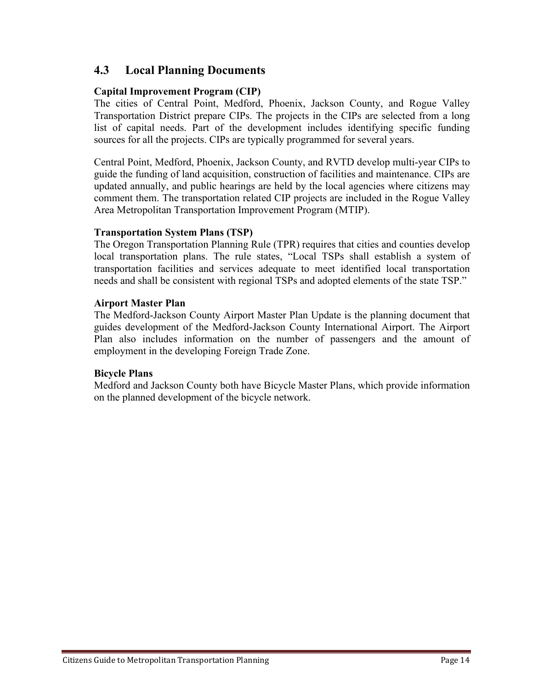### **4.3 Local Planning Documents**

#### **Capital Improvement Program (CIP)**

The cities of Central Point, Medford, Phoenix, Jackson County, and Rogue Valley Transportation District prepare CIPs. The projects in the CIPs are selected from a long list of capital needs. Part of the development includes identifying specific funding sources for all the projects. CIPs are typically programmed for several years.

Central Point, Medford, Phoenix, Jackson County, and RVTD develop multi-year CIPs to guide the funding of land acquisition, construction of facilities and maintenance. CIPs are updated annually, and public hearings are held by the local agencies where citizens may comment them. The transportation related CIP projects are included in the Rogue Valley Area Metropolitan Transportation Improvement Program (MTIP).

#### **Transportation System Plans (TSP)**

The Oregon Transportation Planning Rule (TPR) requires that cities and counties develop local transportation plans. The rule states, "Local TSPs shall establish a system of transportation facilities and services adequate to meet identified local transportation needs and shall be consistent with regional TSPs and adopted elements of the state TSP."

#### **Airport Master Plan**

The Medford-Jackson County Airport Master Plan Update is the planning document that guides development of the Medford-Jackson County International Airport. The Airport Plan also includes information on the number of passengers and the amount of employment in the developing Foreign Trade Zone.

#### **Bicycle Plans**

Medford and Jackson County both have Bicycle Master Plans, which provide information on the planned development of the bicycle network.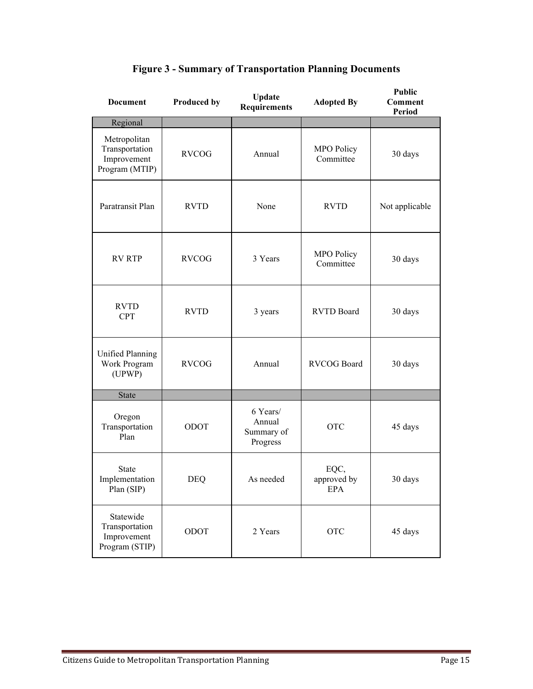| <b>Document</b>                                                 | <b>Produced by</b> | Update<br><b>Requirements</b>                | <b>Adopted By</b>              | <b>Public</b><br><b>Comment</b><br><b>Period</b> |
|-----------------------------------------------------------------|--------------------|----------------------------------------------|--------------------------------|--------------------------------------------------|
| Regional                                                        |                    |                                              |                                |                                                  |
| Metropolitan<br>Transportation<br>Improvement<br>Program (MTIP) | <b>RVCOG</b>       | Annual                                       | <b>MPO Policy</b><br>Committee | 30 days                                          |
| Paratransit Plan                                                | <b>RVTD</b>        | None                                         | <b>RVTD</b>                    | Not applicable                                   |
| <b>RV RTP</b>                                                   | <b>RVCOG</b>       | 3 Years                                      | <b>MPO Policy</b><br>Committee | 30 days                                          |
| <b>RVTD</b><br><b>CPT</b>                                       | <b>RVTD</b>        | 3 years                                      | <b>RVTD Board</b>              | 30 days                                          |
| <b>Unified Planning</b><br>Work Program<br>(UPWP)               | <b>RVCOG</b>       | Annual                                       | RVCOG Board                    | 30 days                                          |
| <b>State</b>                                                    |                    |                                              |                                |                                                  |
| Oregon<br>Transportation<br>Plan                                | ODOT               | 6 Years/<br>Annual<br>Summary of<br>Progress | <b>OTC</b>                     | 45 days                                          |
| <b>State</b><br>Implementation<br>Plan (SIP)                    | DEQ                | As needed                                    | EQC,<br>approved by<br>EPA     | 30 days                                          |
| Statewide<br>Transportation<br>Improvement<br>Program (STIP)    | ODOT               | 2 Years                                      | <b>OTC</b>                     | 45 days                                          |

## **Figure 3 - Summary of Transportation Planning Documents**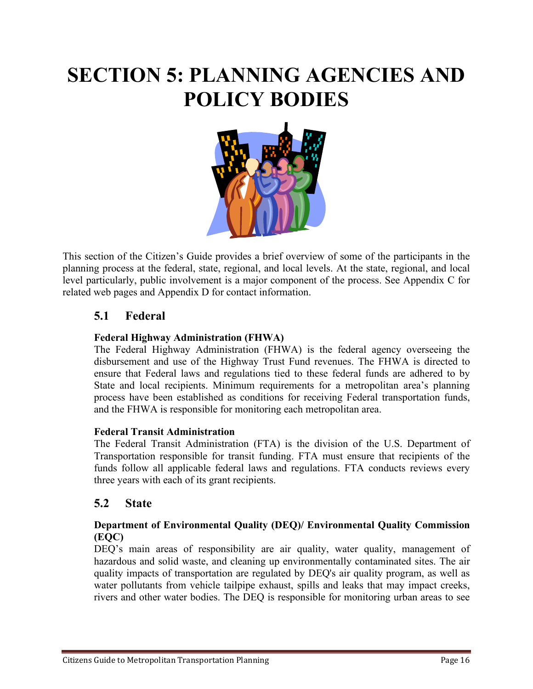# **SECTION 5: PLANNING AGENCIES AND POLICY BODIES**



This section of the Citizen's Guide provides a brief overview of some of the participants in the planning process at the federal, state, regional, and local levels. At the state, regional, and local level particularly, public involvement is a major component of the process. See Appendix C for related web pages and Appendix D for contact information.

## **5.1 Federal**

### **Federal Highway Administration (FHWA)**

The Federal Highway Administration (FHWA) is the federal agency overseeing the disbursement and use of the Highway Trust Fund revenues. The FHWA is directed to ensure that Federal laws and regulations tied to these federal funds are adhered to by State and local recipients. Minimum requirements for a metropolitan area's planning process have been established as conditions for receiving Federal transportation funds, and the FHWA is responsible for monitoring each metropolitan area.

#### **Federal Transit Administration**

The Federal Transit Administration (FTA) is the division of the U.S. Department of Transportation responsible for transit funding. FTA must ensure that recipients of the funds follow all applicable federal laws and regulations. FTA conducts reviews every three years with each of its grant recipients.

### **5.2 State**

#### **Department of Environmental Quality (DEQ)/ Environmental Quality Commission (EQC)**

DEQ's main areas of responsibility are air quality, water quality, management of hazardous and solid waste, and cleaning up environmentally contaminated sites. The air quality impacts of transportation are regulated by DEQ's air quality program, as well as water pollutants from vehicle tailpipe exhaust, spills and leaks that may impact creeks, rivers and other water bodies. The DEQ is responsible for monitoring urban areas to see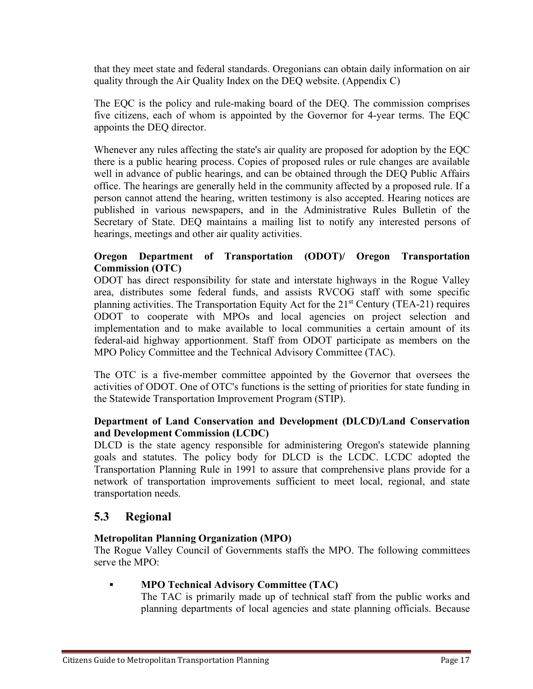that they meet state and federal standards. Oregonians can obtain daily information on air quality through the Air Quality Index on the DEQ website. (Appendix C)

The EQC is the policy and rule-making board of the DEQ. The commission comprises five citizens, each of whom is appointed by the Governor for 4-year terms. The EQC appoints the DEQ director.

Whenever any rules affecting the state's air quality are proposed for adoption by the EQC there is a public hearing process. Copies of proposed rules or rule changes are available well in advance of public hearings, and can be obtained through the DEQ Public Affairs office. The hearings are generally held in the community affected by a proposed rule. If a person cannot attend the hearing, written testimony is also accepted. Hearing notices are published in various newspapers, and in the Administrative Rules Bulletin of the Secretary of State. DEQ maintains a mailing list to notify any interested persons of hearings, meetings and other air quality activities.

#### **Oregon Department of Transportation (ODOT)/ Oregon Transportation Commission (OTC)**

ODOT has direct responsibility for state and interstate highways in the Rogue Valley area, distributes some federal funds, and assists RVCOG staff with some specific planning activities. The Transportation Equity Act for the  $21<sup>st</sup>$  Century (TEA-21) requires ODOT to cooperate with MPOs and local agencies on project selection and implementation and to make available to local communities a certain amount of its federal-aid highway apportionment. Staff from ODOT participate as members on the MPO Policy Committee and the Technical Advisory Committee (TAC).

The OTC is a five-member committee appointed by the Governor that oversees the activities of ODOT. One of OTC's functions is the setting of priorities for state funding in the Statewide Transportation Improvement Program (STIP).

#### **Department of Land Conservation and Development (DLCD)/Land Conservation and Development Commission (LCDC)**

DLCD is the state agency responsible for administering Oregon's statewide planning goals and statutes. The policy body for DLCD is the LCDC. LCDC adopted the Transportation Planning Rule in 1991 to assure that comprehensive plans provide for a network of transportation improvements sufficient to meet local, regional, and state transportation needs.

### **5.3 Regional**

#### **Metropolitan Planning Organization (MPO)**

The Rogue Valley Council of Governments staffs the MPO. The following committees serve the MPO:

#### **▪ MPO Technical Advisory Committee (TAC)**

The TAC is primarily made up of technical staff from the public works and planning departments of local agencies and state planning officials. Because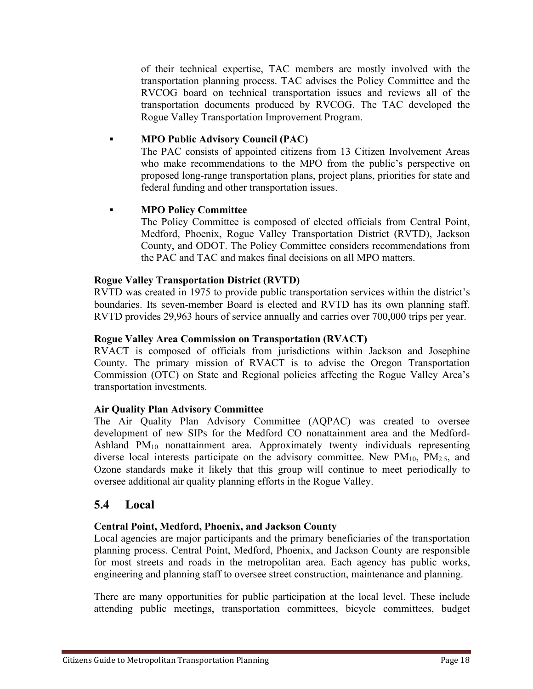of their technical expertise, TAC members are mostly involved with the transportation planning process. TAC advises the Policy Committee and the RVCOG board on technical transportation issues and reviews all of the transportation documents produced by RVCOG. The TAC developed the Rogue Valley Transportation Improvement Program.

#### **▪ MPO Public Advisory Council (PAC)**

The PAC consists of appointed citizens from 13 Citizen Involvement Areas who make recommendations to the MPO from the public's perspective on proposed long-range transportation plans, project plans, priorities for state and federal funding and other transportation issues.

#### **▪ MPO Policy Committee**

The Policy Committee is composed of elected officials from Central Point, Medford, Phoenix, Rogue Valley Transportation District (RVTD), Jackson County, and ODOT. The Policy Committee considers recommendations from the PAC and TAC and makes final decisions on all MPO matters.

#### **Rogue Valley Transportation District (RVTD)**

RVTD was created in 1975 to provide public transportation services within the district's boundaries. Its seven-member Board is elected and RVTD has its own planning staff. RVTD provides 29,963 hours of service annually and carries over 700,000 trips per year.

#### **Rogue Valley Area Commission on Transportation (RVACT)**

RVACT is composed of officials from jurisdictions within Jackson and Josephine County. The primary mission of RVACT is to advise the Oregon Transportation Commission (OTC) on State and Regional policies affecting the Rogue Valley Area's transportation investments.

#### **Air Quality Plan Advisory Committee**

The Air Quality Plan Advisory Committee (AQPAC) was created to oversee development of new SIPs for the Medford CO nonattainment area and the Medford-Ashland  $PM_{10}$  nonattainment area. Approximately twenty individuals representing diverse local interests participate on the advisory committee. New  $PM_{10}$ ,  $PM_{2.5}$ , and Ozone standards make it likely that this group will continue to meet periodically to oversee additional air quality planning efforts in the Rogue Valley.

#### **5.4 Local**

#### **Central Point, Medford, Phoenix, and Jackson County**

Local agencies are major participants and the primary beneficiaries of the transportation planning process. Central Point, Medford, Phoenix, and Jackson County are responsible for most streets and roads in the metropolitan area. Each agency has public works, engineering and planning staff to oversee street construction, maintenance and planning.

There are many opportunities for public participation at the local level. These include attending public meetings, transportation committees, bicycle committees, budget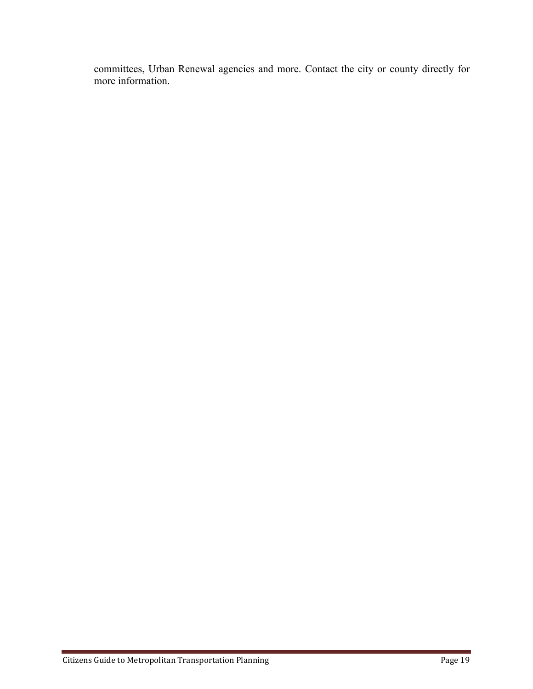committees, Urban Renewal agencies and more. Contact the city or county directly for more information.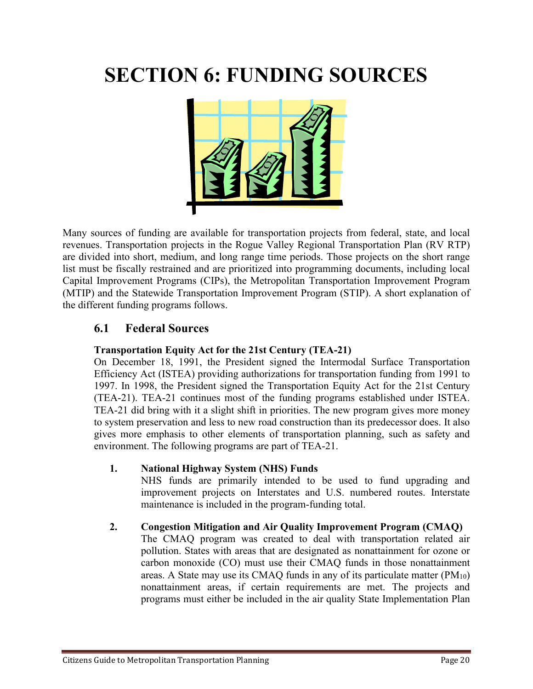# **SECTION 6: FUNDING SOURCES**



Many sources of funding are available for transportation projects from federal, state, and local revenues. Transportation projects in the Rogue Valley Regional Transportation Plan (RV RTP) are divided into short, medium, and long range time periods. Those projects on the short range list must be fiscally restrained and are prioritized into programming documents, including local Capital Improvement Programs (CIPs), the Metropolitan Transportation Improvement Program (MTIP) and the Statewide Transportation Improvement Program (STIP). A short explanation of the different funding programs follows.

### **6.1 Federal Sources**

#### **Transportation Equity Act for the 21st Century (TEA-21)**

On December 18, 1991, the President signed the Intermodal Surface Transportation Efficiency Act (ISTEA) providing authorizations for transportation funding from 1991 to 1997. In 1998, the President signed the Transportation Equity Act for the 21st Century (TEA-21). TEA-21 continues most of the funding programs established under ISTEA. TEA-21 did bring with it a slight shift in priorities. The new program gives more money to system preservation and less to new road construction than its predecessor does. It also gives more emphasis to other elements of transportation planning, such as safety and environment. The following programs are part of TEA-21.

#### **1. National Highway System (NHS) Funds**

NHS funds are primarily intended to be used to fund upgrading and improvement projects on Interstates and U.S. numbered routes. Interstate maintenance is included in the program-funding total.

#### **2. Congestion Mitigation and Air Quality Improvement Program (CMAQ)**

The CMAQ program was created to deal with transportation related air pollution. States with areas that are designated as nonattainment for ozone or carbon monoxide (CO) must use their CMAQ funds in those nonattainment areas. A State may use its CMAQ funds in any of its particulate matter  $(PM_{10})$ nonattainment areas, if certain requirements are met. The projects and programs must either be included in the air quality State Implementation Plan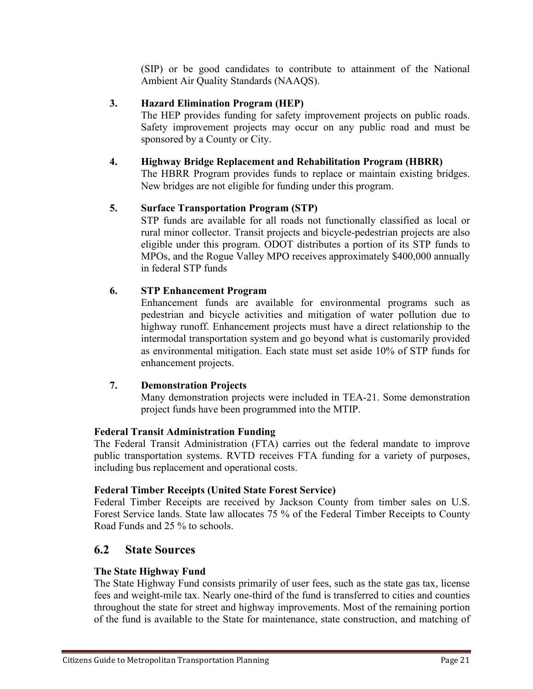(SIP) or be good candidates to contribute to attainment of the National Ambient Air Quality Standards (NAAQS).

#### **3. Hazard Elimination Program (HEP)**

The HEP provides funding for safety improvement projects on public roads. Safety improvement projects may occur on any public road and must be sponsored by a County or City.

#### **4. Highway Bridge Replacement and Rehabilitation Program (HBRR)**

The HBRR Program provides funds to replace or maintain existing bridges. New bridges are not eligible for funding under this program.

#### **5. Surface Transportation Program (STP)**

STP funds are available for all roads not functionally classified as local or rural minor collector. Transit projects and bicycle-pedestrian projects are also eligible under this program. ODOT distributes a portion of its STP funds to MPOs, and the Rogue Valley MPO receives approximately \$400,000 annually in federal STP funds

#### **6. STP Enhancement Program**

Enhancement funds are available for environmental programs such as pedestrian and bicycle activities and mitigation of water pollution due to highway runoff. Enhancement projects must have a direct relationship to the intermodal transportation system and go beyond what is customarily provided as environmental mitigation. Each state must set aside 10% of STP funds for enhancement projects.

#### **7. Demonstration Projects**

Many demonstration projects were included in TEA-21. Some demonstration project funds have been programmed into the MTIP.

#### **Federal Transit Administration Funding**

The Federal Transit Administration (FTA) carries out the federal mandate to improve public transportation systems. RVTD receives FTA funding for a variety of purposes, including bus replacement and operational costs.

#### **Federal Timber Receipts (United State Forest Service)**

Federal Timber Receipts are received by Jackson County from timber sales on U.S. Forest Service lands. State law allocates 75 % of the Federal Timber Receipts to County Road Funds and 25 % to schools.

#### **6.2 State Sources**

#### **The State Highway Fund**

The State Highway Fund consists primarily of user fees, such as the state gas tax, license fees and weight-mile tax. Nearly one-third of the fund is transferred to cities and counties throughout the state for street and highway improvements. Most of the remaining portion of the fund is available to the State for maintenance, state construction, and matching of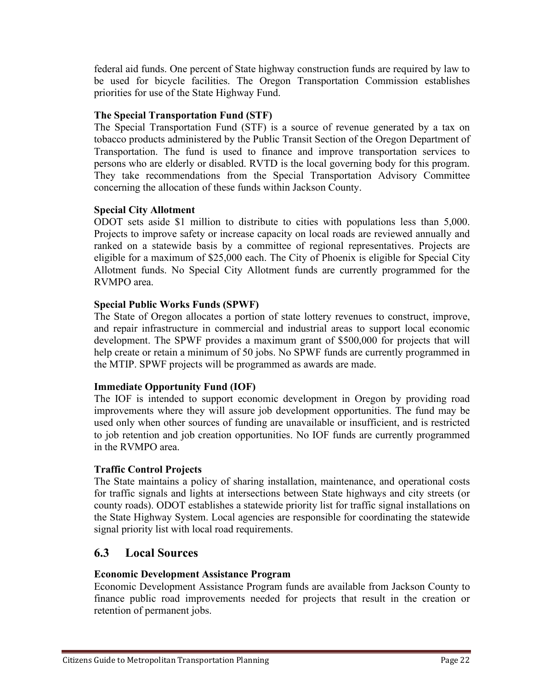federal aid funds. One percent of State highway construction funds are required by law to be used for bicycle facilities. The Oregon Transportation Commission establishes priorities for use of the State Highway Fund.

#### **The Special Transportation Fund (STF)**

The Special Transportation Fund (STF) is a source of revenue generated by a tax on tobacco products administered by the Public Transit Section of the Oregon Department of Transportation. The fund is used to finance and improve transportation services to persons who are elderly or disabled. RVTD is the local governing body for this program. They take recommendations from the Special Transportation Advisory Committee concerning the allocation of these funds within Jackson County.

#### **Special City Allotment**

ODOT sets aside \$1 million to distribute to cities with populations less than 5,000. Projects to improve safety or increase capacity on local roads are reviewed annually and ranked on a statewide basis by a committee of regional representatives. Projects are eligible for a maximum of \$25,000 each. The City of Phoenix is eligible for Special City Allotment funds. No Special City Allotment funds are currently programmed for the RVMPO area.

#### **Special Public Works Funds (SPWF)**

The State of Oregon allocates a portion of state lottery revenues to construct, improve, and repair infrastructure in commercial and industrial areas to support local economic development. The SPWF provides a maximum grant of \$500,000 for projects that will help create or retain a minimum of 50 jobs. No SPWF funds are currently programmed in the MTIP. SPWF projects will be programmed as awards are made.

#### **Immediate Opportunity Fund (IOF)**

The IOF is intended to support economic development in Oregon by providing road improvements where they will assure job development opportunities. The fund may be used only when other sources of funding are unavailable or insufficient, and is restricted to job retention and job creation opportunities. No IOF funds are currently programmed in the RVMPO area.

#### **Traffic Control Projects**

The State maintains a policy of sharing installation, maintenance, and operational costs for traffic signals and lights at intersections between State highways and city streets (or county roads). ODOT establishes a statewide priority list for traffic signal installations on the State Highway System. Local agencies are responsible for coordinating the statewide signal priority list with local road requirements.

### **6.3 Local Sources**

#### **Economic Development Assistance Program**

Economic Development Assistance Program funds are available from Jackson County to finance public road improvements needed for projects that result in the creation or retention of permanent jobs.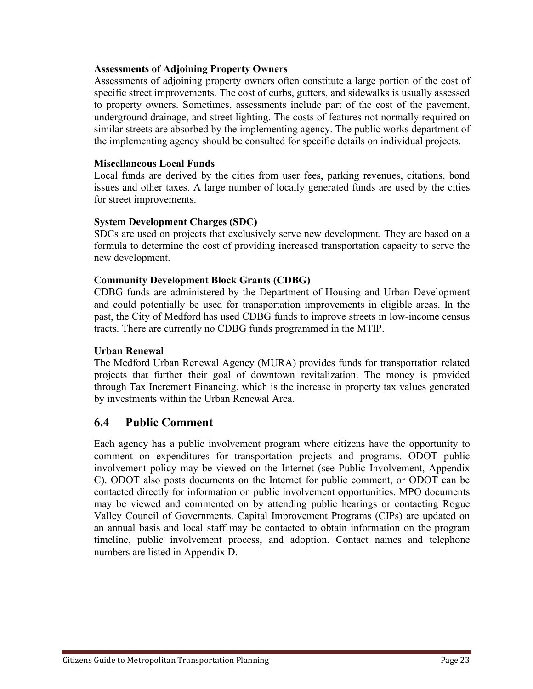#### **Assessments of Adjoining Property Owners**

Assessments of adjoining property owners often constitute a large portion of the cost of specific street improvements. The cost of curbs, gutters, and sidewalks is usually assessed to property owners. Sometimes, assessments include part of the cost of the pavement, underground drainage, and street lighting. The costs of features not normally required on similar streets are absorbed by the implementing agency. The public works department of the implementing agency should be consulted for specific details on individual projects.

#### **Miscellaneous Local Funds**

Local funds are derived by the cities from user fees, parking revenues, citations, bond issues and other taxes. A large number of locally generated funds are used by the cities for street improvements.

#### **System Development Charges (SDC)**

SDCs are used on projects that exclusively serve new development. They are based on a formula to determine the cost of providing increased transportation capacity to serve the new development.

#### **Community Development Block Grants (CDBG)**

CDBG funds are administered by the Department of Housing and Urban Development and could potentially be used for transportation improvements in eligible areas. In the past, the City of Medford has used CDBG funds to improve streets in low-income census tracts. There are currently no CDBG funds programmed in the MTIP.

#### **Urban Renewal**

The Medford Urban Renewal Agency (MURA) provides funds for transportation related projects that further their goal of downtown revitalization. The money is provided through Tax Increment Financing, which is the increase in property tax values generated by investments within the Urban Renewal Area.

## **6.4 Public Comment**

Each agency has a public involvement program where citizens have the opportunity to comment on expenditures for transportation projects and programs. ODOT public involvement policy may be viewed on the Internet (see Public Involvement, Appendix C). ODOT also posts documents on the Internet for public comment, or ODOT can be contacted directly for information on public involvement opportunities. MPO documents may be viewed and commented on by attending public hearings or contacting Rogue Valley Council of Governments. Capital Improvement Programs (CIPs) are updated on an annual basis and local staff may be contacted to obtain information on the program timeline, public involvement process, and adoption. Contact names and telephone numbers are listed in Appendix D.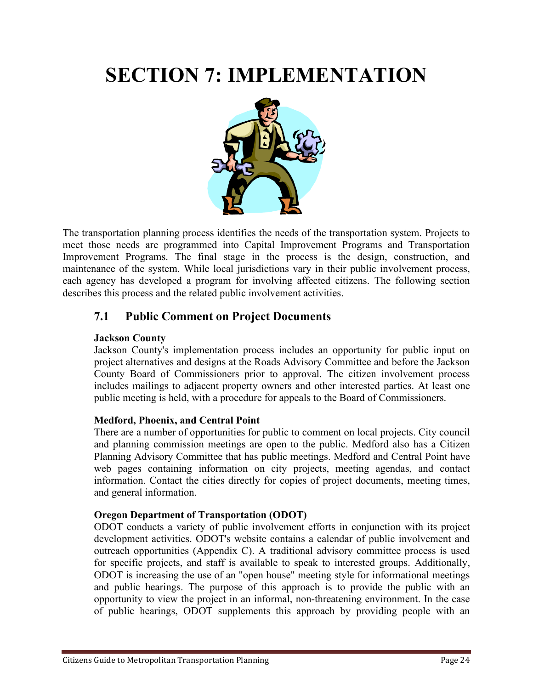# **SECTION 7: IMPLEMENTATION**



The transportation planning process identifies the needs of the transportation system. Projects to meet those needs are programmed into Capital Improvement Programs and Transportation Improvement Programs. The final stage in the process is the design, construction, and maintenance of the system. While local jurisdictions vary in their public involvement process, each agency has developed a program for involving affected citizens. The following section describes this process and the related public involvement activities.

## **7.1 Public Comment on Project Documents**

#### **Jackson County**

Jackson County's implementation process includes an opportunity for public input on project alternatives and designs at the Roads Advisory Committee and before the Jackson County Board of Commissioners prior to approval. The citizen involvement process includes mailings to adjacent property owners and other interested parties. At least one public meeting is held, with a procedure for appeals to the Board of Commissioners.

#### **Medford, Phoenix, and Central Point**

There are a number of opportunities for public to comment on local projects. City council and planning commission meetings are open to the public. Medford also has a Citizen Planning Advisory Committee that has public meetings. Medford and Central Point have web pages containing information on city projects, meeting agendas, and contact information. Contact the cities directly for copies of project documents, meeting times, and general information.

#### **Oregon Department of Transportation (ODOT)**

ODOT conducts a variety of public involvement efforts in conjunction with its project development activities. ODOT's website contains a calendar of public involvement and outreach opportunities (Appendix C). A traditional advisory committee process is used for specific projects, and staff is available to speak to interested groups. Additionally, ODOT is increasing the use of an "open house" meeting style for informational meetings and public hearings. The purpose of this approach is to provide the public with an opportunity to view the project in an informal, non-threatening environment. In the case of public hearings, ODOT supplements this approach by providing people with an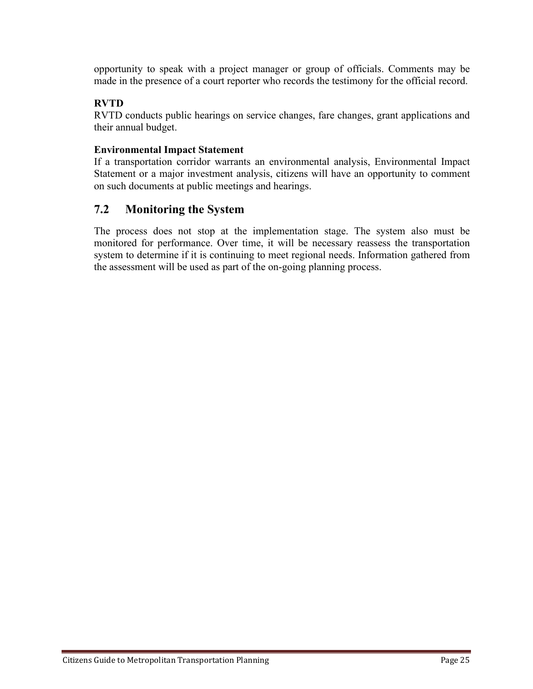opportunity to speak with a project manager or group of officials. Comments may be made in the presence of a court reporter who records the testimony for the official record.

#### **RVTD**

RVTD conducts public hearings on service changes, fare changes, grant applications and their annual budget.

#### **Environmental Impact Statement**

If a transportation corridor warrants an environmental analysis, Environmental Impact Statement or a major investment analysis, citizens will have an opportunity to comment on such documents at public meetings and hearings.

### **7.2 Monitoring the System**

The process does not stop at the implementation stage. The system also must be monitored for performance. Over time, it will be necessary reassess the transportation system to determine if it is continuing to meet regional needs. Information gathered from the assessment will be used as part of the on-going planning process.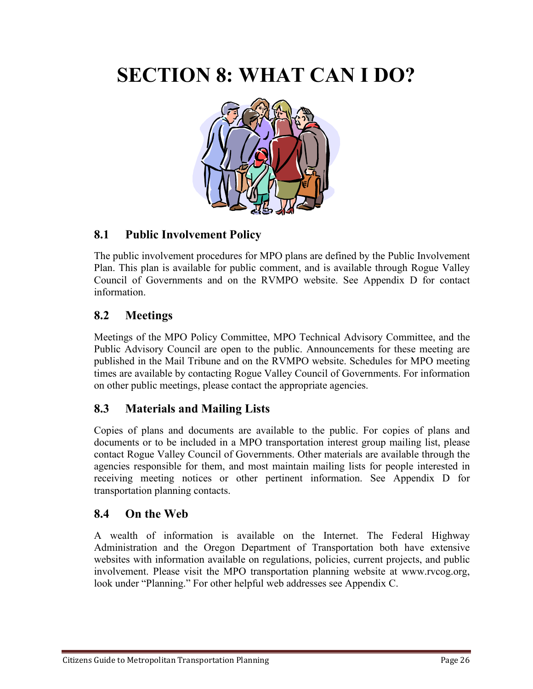## **SECTION 8: WHAT CAN I DO?**



## **8.1 Public Involvement Policy**

The public involvement procedures for MPO plans are defined by the Public Involvement Plan. This plan is available for public comment, and is available through Rogue Valley Council of Governments and on the RVMPO website. See Appendix D for contact information.

## **8.2 Meetings**

Meetings of the MPO Policy Committee, MPO Technical Advisory Committee, and the Public Advisory Council are open to the public. Announcements for these meeting are published in the Mail Tribune and on the RVMPO website. Schedules for MPO meeting times are available by contacting Rogue Valley Council of Governments. For information on other public meetings, please contact the appropriate agencies.

## **8.3 Materials and Mailing Lists**

Copies of plans and documents are available to the public. For copies of plans and documents or to be included in a MPO transportation interest group mailing list, please contact Rogue Valley Council of Governments. Other materials are available through the agencies responsible for them, and most maintain mailing lists for people interested in receiving meeting notices or other pertinent information. See Appendix D for transportation planning contacts.

### **8.4 On the Web**

A wealth of information is available on the Internet. The Federal Highway Administration and the Oregon Department of Transportation both have extensive websites with information available on regulations, policies, current projects, and public involvement. Please visit the MPO transportation planning website at www.rvcog.org, look under "Planning." For other helpful web addresses see Appendix C.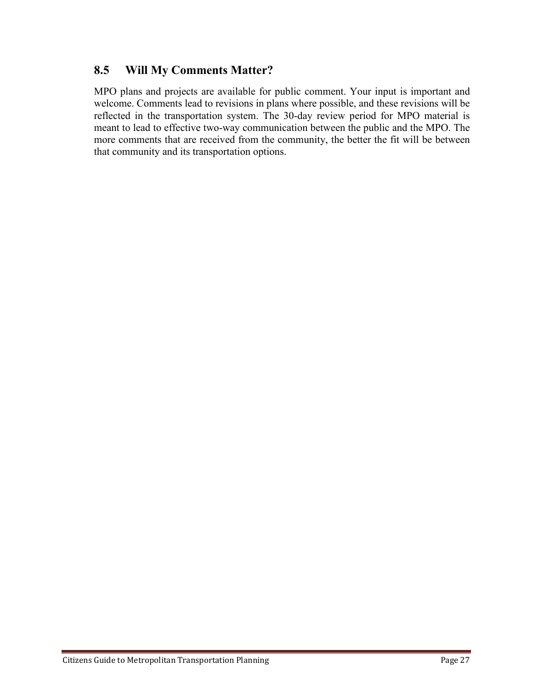## **8.5 Will My Comments Matter?**

MPO plans and projects are available for public comment. Your input is important and welcome. Comments lead to revisions in plans where possible, and these revisions will be reflected in the transportation system. The 30-day review period for MPO material is meant to lead to effective two-way communication between the public and the MPO. The more comments that are received from the community, the better the fit will be between that community and its transportation options.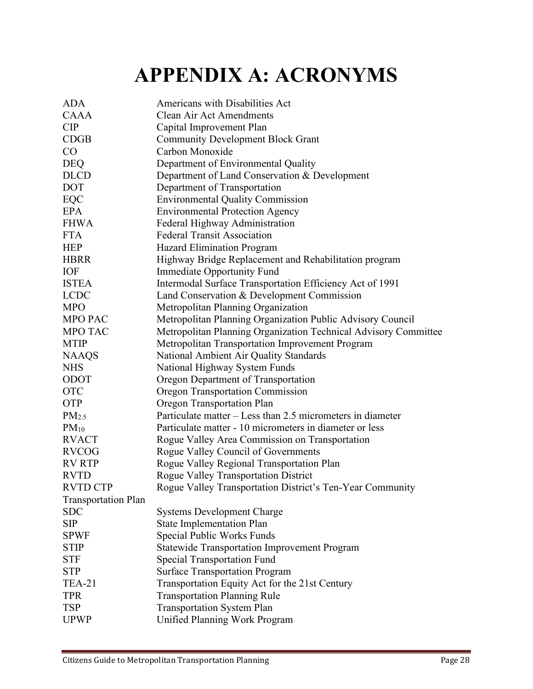# **APPENDIX A: ACRONYMS**

| <b>ADA</b>                 | Americans with Disabilities Act                                 |
|----------------------------|-----------------------------------------------------------------|
| <b>CAAA</b>                | <b>Clean Air Act Amendments</b>                                 |
| CIP                        | Capital Improvement Plan                                        |
| CDGB                       | <b>Community Development Block Grant</b>                        |
| CO                         | Carbon Monoxide                                                 |
| <b>DEQ</b>                 | Department of Environmental Quality                             |
| <b>DLCD</b>                | Department of Land Conservation & Development                   |
| <b>DOT</b>                 | Department of Transportation                                    |
| EQC                        | <b>Environmental Quality Commission</b>                         |
| <b>EPA</b>                 | <b>Environmental Protection Agency</b>                          |
| <b>FHWA</b>                | Federal Highway Administration                                  |
| <b>FTA</b>                 | <b>Federal Transit Association</b>                              |
| <b>HEP</b>                 | <b>Hazard Elimination Program</b>                               |
| <b>HBRR</b>                | Highway Bridge Replacement and Rehabilitation program           |
| <b>IOF</b>                 | <b>Immediate Opportunity Fund</b>                               |
| <b>ISTEA</b>               | Intermodal Surface Transportation Efficiency Act of 1991        |
| <b>LCDC</b>                | Land Conservation & Development Commission                      |
| <b>MPO</b>                 | Metropolitan Planning Organization                              |
| <b>MPO PAC</b>             | Metropolitan Planning Organization Public Advisory Council      |
| <b>MPO TAC</b>             | Metropolitan Planning Organization Technical Advisory Committee |
| <b>MTIP</b>                | Metropolitan Transportation Improvement Program                 |
| <b>NAAQS</b>               | National Ambient Air Quality Standards                          |
| <b>NHS</b>                 | National Highway System Funds                                   |
| ODOT                       | Oregon Department of Transportation                             |
| <b>OTC</b>                 | <b>Oregon Transportation Commission</b>                         |
| <b>OTP</b>                 | Oregon Transportation Plan                                      |
| PM <sub>2.5</sub>          | Particulate matter – Less than 2.5 micrometers in diameter      |
| $PM_{10}$                  | Particulate matter - 10 micrometers in diameter or less         |
| <b>RVACT</b>               | Rogue Valley Area Commission on Transportation                  |
| <b>RVCOG</b>               | Rogue Valley Council of Governments                             |
| <b>RV RTP</b>              | Rogue Valley Regional Transportation Plan                       |
| <b>RVTD</b>                | <b>Rogue Valley Transportation District</b>                     |
| <b>RVTD CTP</b>            | Rogue Valley Transportation District's Ten-Year Community       |
| <b>Transportation Plan</b> |                                                                 |
| <b>SDC</b>                 | <b>Systems Development Charge</b>                               |
| <b>SIP</b>                 | <b>State Implementation Plan</b>                                |
| <b>SPWF</b>                | Special Public Works Funds                                      |
| <b>STIP</b>                | <b>Statewide Transportation Improvement Program</b>             |
| <b>STF</b>                 | <b>Special Transportation Fund</b>                              |
| <b>STP</b>                 | <b>Surface Transportation Program</b>                           |
| <b>TEA-21</b>              | Transportation Equity Act for the 21st Century                  |
| <b>TPR</b>                 | <b>Transportation Planning Rule</b>                             |
| <b>TSP</b>                 | <b>Transportation System Plan</b>                               |
| <b>UPWP</b>                | <b>Unified Planning Work Program</b>                            |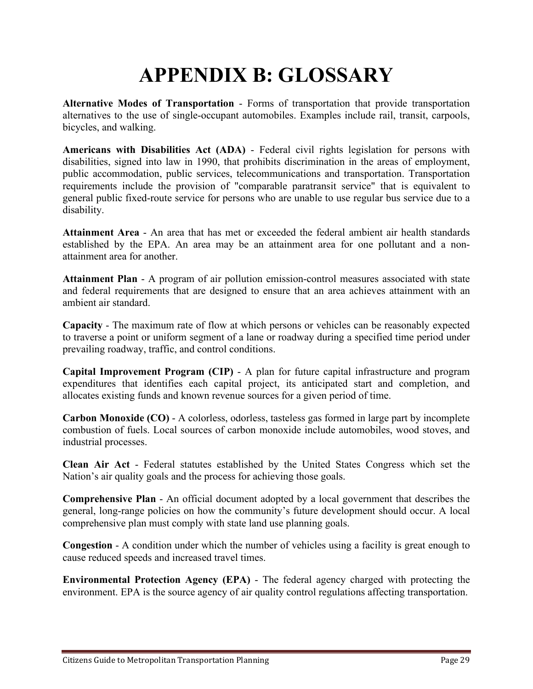# **APPENDIX B: GLOSSARY**

**Alternative Modes of Transportation** - Forms of transportation that provide transportation alternatives to the use of single-occupant automobiles. Examples include rail, transit, carpools, bicycles, and walking.

**Americans with Disabilities Act (ADA)** - Federal civil rights legislation for persons with disabilities, signed into law in 1990, that prohibits discrimination in the areas of employment, public accommodation, public services, telecommunications and transportation. Transportation requirements include the provision of "comparable paratransit service" that is equivalent to general public fixed-route service for persons who are unable to use regular bus service due to a disability.

**Attainment Area** - An area that has met or exceeded the federal ambient air health standards established by the EPA. An area may be an attainment area for one pollutant and a nonattainment area for another.

**Attainment Plan** - A program of air pollution emission-control measures associated with state and federal requirements that are designed to ensure that an area achieves attainment with an ambient air standard.

**Capacity** - The maximum rate of flow at which persons or vehicles can be reasonably expected to traverse a point or uniform segment of a lane or roadway during a specified time period under prevailing roadway, traffic, and control conditions.

**Capital Improvement Program (CIP)** - A plan for future capital infrastructure and program expenditures that identifies each capital project, its anticipated start and completion, and allocates existing funds and known revenue sources for a given period of time.

**Carbon Monoxide (CO)** - A colorless, odorless, tasteless gas formed in large part by incomplete combustion of fuels. Local sources of carbon monoxide include automobiles, wood stoves, and industrial processes.

**Clean Air Act** - Federal statutes established by the United States Congress which set the Nation's air quality goals and the process for achieving those goals.

**Comprehensive Plan** - An official document adopted by a local government that describes the general, long-range policies on how the community's future development should occur. A local comprehensive plan must comply with state land use planning goals.

**Congestion** - A condition under which the number of vehicles using a facility is great enough to cause reduced speeds and increased travel times.

**Environmental Protection Agency (EPA)** - The federal agency charged with protecting the environment. EPA is the source agency of air quality control regulations affecting transportation.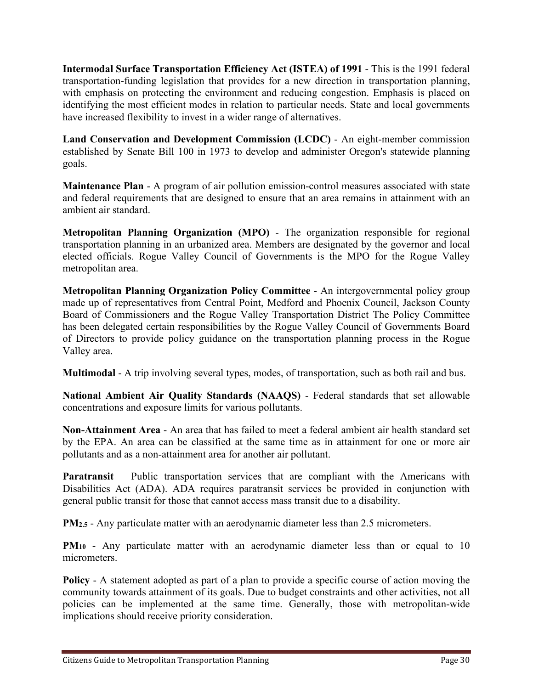**Intermodal Surface Transportation Efficiency Act (ISTEA) of 1991** - This is the 1991 federal transportation-funding legislation that provides for a new direction in transportation planning, with emphasis on protecting the environment and reducing congestion. Emphasis is placed on identifying the most efficient modes in relation to particular needs. State and local governments have increased flexibility to invest in a wider range of alternatives.

**Land Conservation and Development Commission (LCDC)** - An eight-member commission established by Senate Bill 100 in 1973 to develop and administer Oregon's statewide planning goals.

**Maintenance Plan** - A program of air pollution emission-control measures associated with state and federal requirements that are designed to ensure that an area remains in attainment with an ambient air standard.

**Metropolitan Planning Organization (MPO)** - The organization responsible for regional transportation planning in an urbanized area. Members are designated by the governor and local elected officials. Rogue Valley Council of Governments is the MPO for the Rogue Valley metropolitan area.

**Metropolitan Planning Organization Policy Committee** - An intergovernmental policy group made up of representatives from Central Point, Medford and Phoenix Council, Jackson County Board of Commissioners and the Rogue Valley Transportation District The Policy Committee has been delegated certain responsibilities by the Rogue Valley Council of Governments Board of Directors to provide policy guidance on the transportation planning process in the Rogue Valley area.

**Multimodal** - A trip involving several types, modes, of transportation, such as both rail and bus.

**National Ambient Air Quality Standards (NAAQS)** - Federal standards that set allowable concentrations and exposure limits for various pollutants.

**Non-Attainment Area** - An area that has failed to meet a federal ambient air health standard set by the EPA. An area can be classified at the same time as in attainment for one or more air pollutants and as a non-attainment area for another air pollutant.

**Paratransit** – Public transportation services that are compliant with the Americans with Disabilities Act (ADA). ADA requires paratransit services be provided in conjunction with general public transit for those that cannot access mass transit due to a disability.

**PM<sub>2.5</sub>** - Any particulate matter with an aerodynamic diameter less than 2.5 micrometers.

**PM<sub>10</sub>** - Any particulate matter with an aerodynamic diameter less than or equal to 10 micrometers.

**Policy** - A statement adopted as part of a plan to provide a specific course of action moving the community towards attainment of its goals. Due to budget constraints and other activities, not all policies can be implemented at the same time. Generally, those with metropolitan-wide implications should receive priority consideration.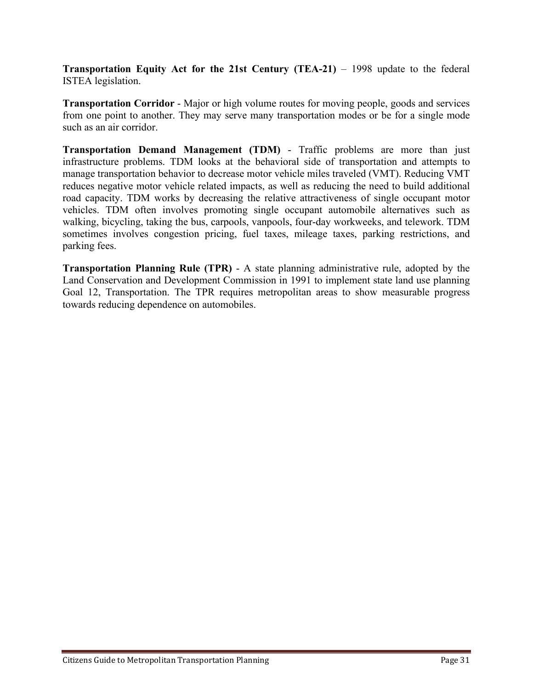**Transportation Equity Act for the 21st Century (TEA-21)** – 1998 update to the federal ISTEA legislation.

**Transportation Corridor** - Major or high volume routes for moving people, goods and services from one point to another. They may serve many transportation modes or be for a single mode such as an air corridor.

**Transportation Demand Management (TDM)** - Traffic problems are more than just infrastructure problems. TDM looks at the behavioral side of transportation and attempts to manage transportation behavior to decrease motor vehicle miles traveled (VMT). Reducing VMT reduces negative motor vehicle related impacts, as well as reducing the need to build additional road capacity. TDM works by decreasing the relative attractiveness of single occupant motor vehicles. TDM often involves promoting single occupant automobile alternatives such as walking, bicycling, taking the bus, carpools, vanpools, four-day workweeks, and telework. TDM sometimes involves congestion pricing, fuel taxes, mileage taxes, parking restrictions, and parking fees.

**Transportation Planning Rule (TPR)** - A state planning administrative rule, adopted by the Land Conservation and Development Commission in 1991 to implement state land use planning Goal 12, Transportation. The TPR requires metropolitan areas to show measurable progress towards reducing dependence on automobiles.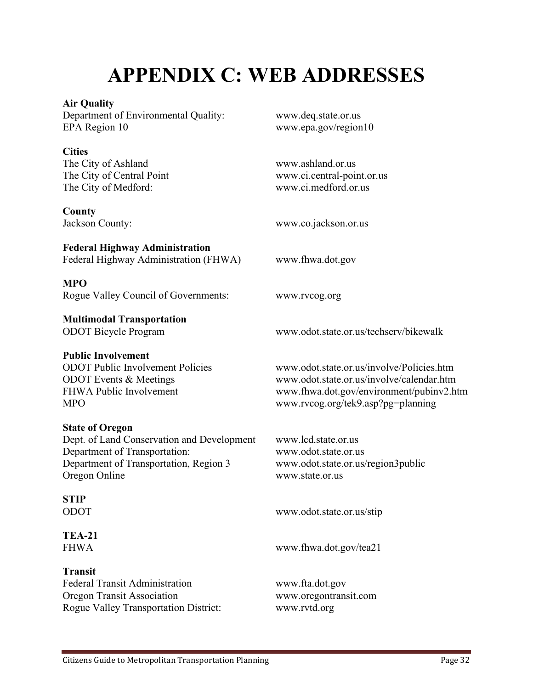# **APPENDIX C: WEB ADDRESSES**

#### **Air Quality**

Department of Environmental Quality: www.deq.state.or.us EPA Region 10 www.epa.gov/region10

#### **Cities**

The City of Ashland www.ashland.or.us The City of Medford: www.ci.medford.or.us

#### **County**

# **Federal Highway Administration**

Federal Highway Administration (FHWA) www.fhwa.dot.gov

#### **MPO**

Rogue Valley Council of Governments: www.rvcog.org

## **Multimodal Transportation**

#### **Public Involvement**

#### **State of Oregon**

Dept. of Land Conservation and Development www.lcd.state.or.us Department of Transportation: www.odot.state.or.us Department of Transportation, Region 3 www.odot.state.or.us/region3public Oregon Online www.state.or.us

## **STIP**

**TEA-21**

### **Transit**

Federal Transit Administration www.fta.dot.gov Oregon Transit Association www.oregontransit.com Rogue Valley Transportation District: www.rvtd.org

The City of Central Point www.ci.central-point.or.us

Jackson County: www.co.jackson.or.us

ODOT Bicycle Program www.odot.state.or.us/techserv/bikewalk

ODOT Public Involvement Policies www.odot.state.or.us/involve/Policies.htm ODOT Events & Meetings www.odot.state.or.us/involve/calendar.htm FHWA Public Involvement www.fhwa.dot.gov/environment/pubinv2.htm MPO www.rvcog.org/tek9.asp?pg=planning

ODOT www.odot.state.or.us/stip

FHWA www.fhwa.dot.gov/tea21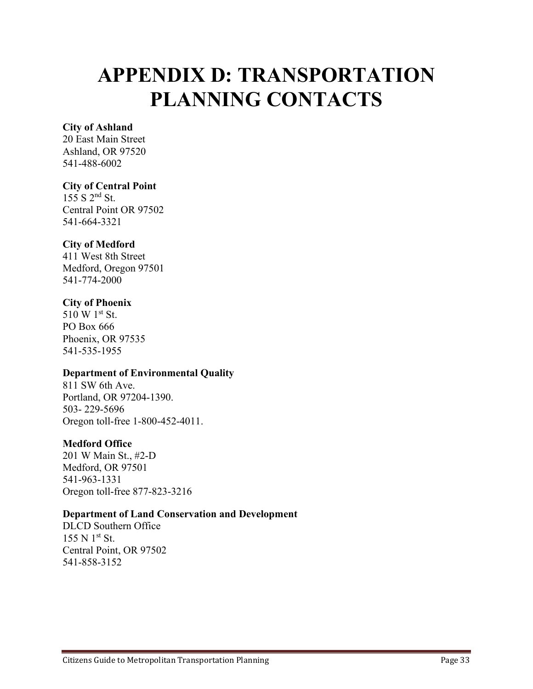# **APPENDIX D: TRANSPORTATION PLANNING CONTACTS**

#### **City of Ashland**

20 East Main Street Ashland, OR 97520 541-488-6002

### **City of Central Point**

 $155$  S  $2<sup>nd</sup>$  St. Central Point OR 97502 541-664-3321

#### **City of Medford**

411 West 8th Street Medford, Oregon 97501 541-774-2000

#### **City of Phoenix**

510 W 1st St. PO Box 666 Phoenix, OR 97535 541-535-1955

#### **Department of Environmental Quality**

811 SW 6th Ave. Portland, OR 97204-1390. 503- 229-5696 Oregon toll-free 1-800-452-4011.

#### **Medford Office**

201 W Main St., #2-D Medford, OR 97501 541-963-1331 Oregon toll-free 877-823-3216

#### **Department of Land Conservation and Development**

DLCD Southern Office  $155 N 1<sup>st</sup> St.$ Central Point, OR 97502 541-858-3152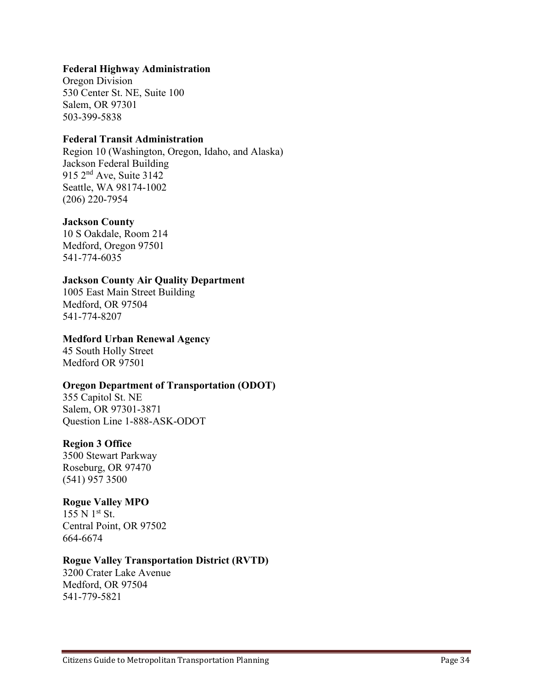#### **Federal Highway Administration**

Oregon Division 530 Center St. NE, Suite 100 Salem, OR 97301 503-399-5838

#### **Federal Transit Administration**

Region 10 (Washington, Oregon, Idaho, and Alaska) Jackson Federal Building 915 2<sup>nd</sup> Ave, Suite 3142 Seattle, WA 98174-1002 (206) 220-7954

#### **Jackson County**

10 S Oakdale, Room 214 Medford, Oregon 97501 541-774-6035

#### **Jackson County Air Quality Department**

1005 East Main Street Building Medford, OR 97504 541-774-8207

#### **Medford Urban Renewal Agency**

45 South Holly Street Medford OR 97501

#### **Oregon Department of Transportation (ODOT)**

355 Capitol St. NE Salem, OR 97301-3871 Question Line 1-888-ASK-ODOT

#### **Region 3 Office**

3500 Stewart Parkway Roseburg, OR 97470 (541) 957 3500

#### **Rogue Valley MPO**

 $155 N 1<sup>st</sup> St.$ Central Point, OR 97502 664-6674

#### **Rogue Valley Transportation District (RVTD)**

3200 Crater Lake Avenue Medford, OR 97504 541-779-5821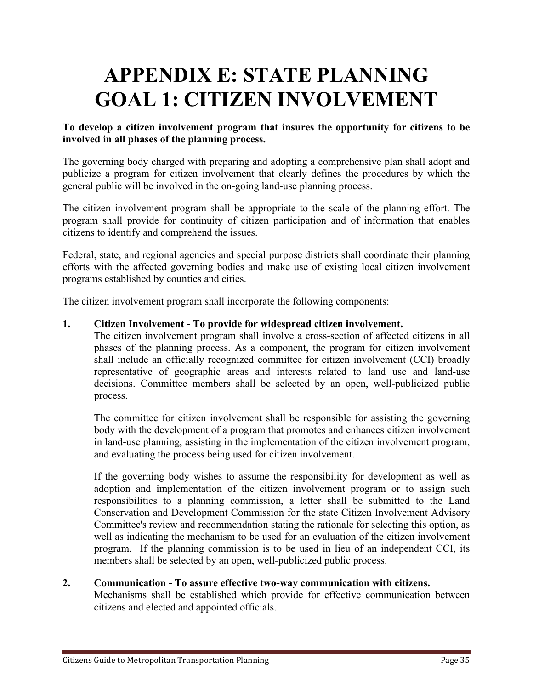# **APPENDIX E: STATE PLANNING GOAL 1: CITIZEN INVOLVEMENT**

#### **To develop a citizen involvement program that insures the opportunity for citizens to be involved in all phases of the planning process.**

The governing body charged with preparing and adopting a comprehensive plan shall adopt and publicize a program for citizen involvement that clearly defines the procedures by which the general public will be involved in the on-going land-use planning process.

The citizen involvement program shall be appropriate to the scale of the planning effort. The program shall provide for continuity of citizen participation and of information that enables citizens to identify and comprehend the issues.

Federal, state, and regional agencies and special purpose districts shall coordinate their planning efforts with the affected governing bodies and make use of existing local citizen involvement programs established by counties and cities.

The citizen involvement program shall incorporate the following components:

#### **1. Citizen Involvement - To provide for widespread citizen involvement.**

The citizen involvement program shall involve a cross-section of affected citizens in all phases of the planning process. As a component, the program for citizen involvement shall include an officially recognized committee for citizen involvement (CCI) broadly representative of geographic areas and interests related to land use and land-use decisions. Committee members shall be selected by an open, well-publicized public process.

The committee for citizen involvement shall be responsible for assisting the governing body with the development of a program that promotes and enhances citizen involvement in land-use planning, assisting in the implementation of the citizen involvement program, and evaluating the process being used for citizen involvement.

If the governing body wishes to assume the responsibility for development as well as adoption and implementation of the citizen involvement program or to assign such responsibilities to a planning commission, a letter shall be submitted to the Land Conservation and Development Commission for the state Citizen Involvement Advisory Committee's review and recommendation stating the rationale for selecting this option, as well as indicating the mechanism to be used for an evaluation of the citizen involvement program. If the planning commission is to be used in lieu of an independent CCI, its members shall be selected by an open, well-publicized public process.

#### **2. Communication - To assure effective two-way communication with citizens.**

Mechanisms shall be established which provide for effective communication between citizens and elected and appointed officials.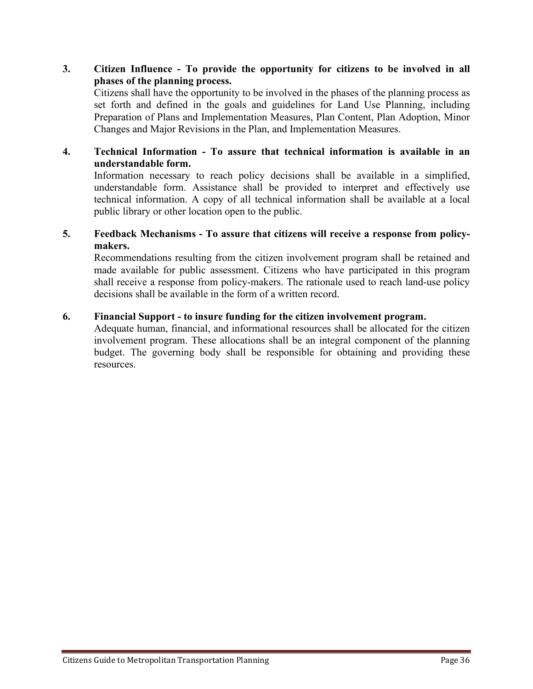#### **3. Citizen Influence - To provide the opportunity for citizens to be involved in all phases of the planning process.**

Citizens shall have the opportunity to be involved in the phases of the planning process as set forth and defined in the goals and guidelines for Land Use Planning, including Preparation of Plans and Implementation Measures, Plan Content, Plan Adoption, Minor Changes and Major Revisions in the Plan, and Implementation Measures.

#### **4. Technical Information - To assure that technical information is available in an understandable form.**

Information necessary to reach policy decisions shall be available in a simplified, understandable form. Assistance shall be provided to interpret and effectively use technical information. A copy of all technical information shall be available at a local public library or other location open to the public.

#### **5. Feedback Mechanisms - To assure that citizens will receive a response from policymakers.**

Recommendations resulting from the citizen involvement program shall be retained and made available for public assessment. Citizens who have participated in this program shall receive a response from policy-makers. The rationale used to reach land-use policy decisions shall be available in the form of a written record.

#### **6. Financial Support - to insure funding for the citizen involvement program.**

Adequate human, financial, and informational resources shall be allocated for the citizen involvement program. These allocations shall be an integral component of the planning budget. The governing body shall be responsible for obtaining and providing these resources.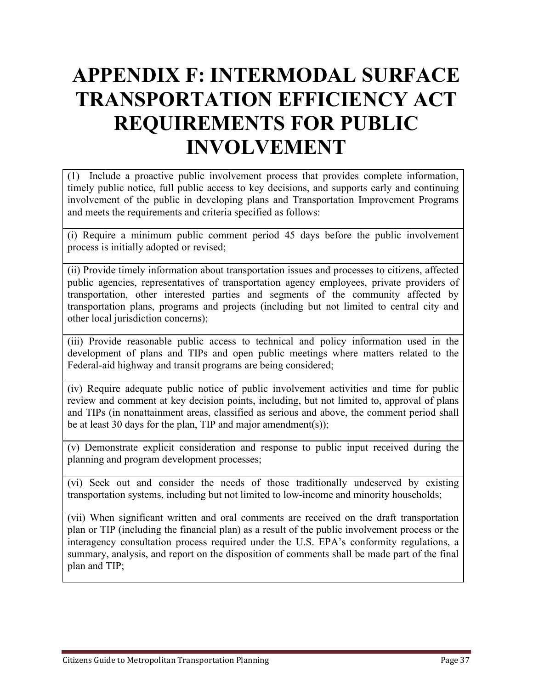# **APPENDIX F: INTERMODAL SURFACE TRANSPORTATION EFFICIENCY ACT REQUIREMENTS FOR PUBLIC INVOLVEMENT**

(1) Include a proactive public involvement process that provides complete information, timely public notice, full public access to key decisions, and supports early and continuing involvement of the public in developing plans and Transportation Improvement Programs and meets the requirements and criteria specified as follows:

(i) Require a minimum public comment period 45 days before the public involvement process is initially adopted or revised;

(ii) Provide timely information about transportation issues and processes to citizens, affected public agencies, representatives of transportation agency employees, private providers of transportation, other interested parties and segments of the community affected by transportation plans, programs and projects (including but not limited to central city and other local jurisdiction concerns);

(iii) Provide reasonable public access to technical and policy information used in the development of plans and TIPs and open public meetings where matters related to the Federal-aid highway and transit programs are being considered;

(iv) Require adequate public notice of public involvement activities and time for public review and comment at key decision points, including, but not limited to, approval of plans and TIPs (in nonattainment areas, classified as serious and above, the comment period shall be at least 30 days for the plan, TIP and major amendment(s));

(v) Demonstrate explicit consideration and response to public input received during the planning and program development processes;

(vi) Seek out and consider the needs of those traditionally undeserved by existing transportation systems, including but not limited to low-income and minority households;

(vii) When significant written and oral comments are received on the draft transportation plan or TIP (including the financial plan) as a result of the public involvement process or the interagency consultation process required under the U.S. EPA's conformity regulations, a summary, analysis, and report on the disposition of comments shall be made part of the final plan and TIP;